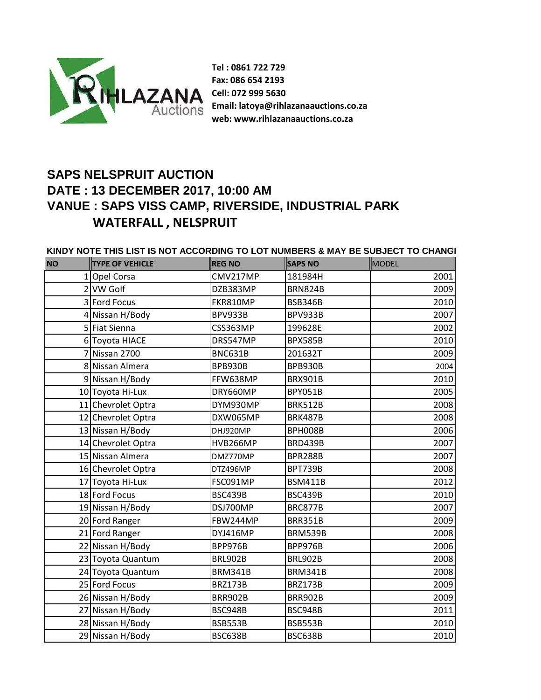

**Tel : 0861 722 729 Fax: 086 654 2193 Cell: 072 999 5630 Email: latoya@rihlazanaauctions.co.za web: www.rihlazanaauctions.co.za**

## **SAPS NELSPRUIT AUCTION DATE : 13 DECEMBER 2017, 10:00 AM VANUE : SAPS VISS CAMP, RIVERSIDE, INDUSTRIAL PARK WATERFALL , NELSPRUIT**

**KINDY NOTE THIS LIST IS NOT ACCORDING TO LOT NUMBERS & MAY BE SUBJECT TO CHANGE**

| <b>NO</b> | <b>TYPE OF VEHICLE</b> | <b>REG NO</b>   | <b>SAPS NO</b> | MODEL |
|-----------|------------------------|-----------------|----------------|-------|
|           | 1 Opel Corsa           | CMV217MP        | 181984H        | 2001  |
|           | 2 VW Golf              | DZB383MP        | <b>BRN824B</b> | 2009  |
|           | 3 Ford Focus           | FKR810MP        | <b>BSB346B</b> | 2010  |
|           | 4 Nissan H/Body        | BPV933B         | BPV933B        | 2007  |
|           | 5 Fiat Sienna          | <b>CSS363MP</b> | 199628E        | 2002  |
|           | 6 Toyota HIACE         | DRS547MP        | <b>BPX585B</b> | 2010  |
|           | 7 Nissan 2700          | <b>BNC631B</b>  | 201632T        | 2009  |
|           | 8 Nissan Almera        | <b>BPB930B</b>  | BPB930B        | 2004  |
|           | 9 Nissan H/Body        | FFW638MP        | <b>BRX901B</b> | 2010  |
|           | 10 Toyota Hi-Lux       | DRY660MP        | <b>BPY051B</b> | 2005  |
|           | 11 Chevrolet Optra     | DYM930MP        | <b>BRK512B</b> | 2008  |
|           | 12 Chevrolet Optra     | DXW065MP        | <b>BRK487B</b> | 2008  |
|           | 13 Nissan H/Body       | DHJ920MP        | BPH008B        | 2006  |
|           | 14 Chevrolet Optra     | HVB266MP        | <b>BRD439B</b> | 2007  |
|           | 15 Nissan Almera       | DMZ770MP        | <b>BPR288B</b> | 2007  |
|           | 16 Chevrolet Optra     | DTZ496MP        | <b>BPT739B</b> | 2008  |
|           | 17 Toyota Hi-Lux       | FSC091MP        | <b>BSM411B</b> | 2012  |
|           | 18 Ford Focus          | <b>BSC439B</b>  | <b>BSC439B</b> | 2010  |
|           | 19 Nissan H/Body       | DSJ700MP        | <b>BRC877B</b> | 2007  |
|           | 20 Ford Ranger         | FBW244MP        | <b>BRR351B</b> | 2009  |
|           | 21 Ford Ranger         | DYJ416MP        | <b>BRM539B</b> | 2008  |
|           | 22 Nissan H/Body       | BPP976B         | BPP976B        | 2006  |
|           | 23 Toyota Quantum      | <b>BRL902B</b>  | <b>BRL902B</b> | 2008  |
|           | 24 Toyota Quantum      | <b>BRM341B</b>  | <b>BRM341B</b> | 2008  |
|           | 25 Ford Focus          | <b>BRZ173B</b>  | <b>BRZ173B</b> | 2009  |
|           | 26 Nissan H/Body       | <b>BRR902B</b>  | <b>BRR902B</b> | 2009  |
|           | 27 Nissan H/Body       | BSC948B         | BSC948B        | 2011  |
|           | 28 Nissan H/Body       | <b>BSB553B</b>  | <b>BSB553B</b> | 2010  |
|           | 29 Nissan H/Body       | <b>BSC638B</b>  | <b>BSC638B</b> | 2010  |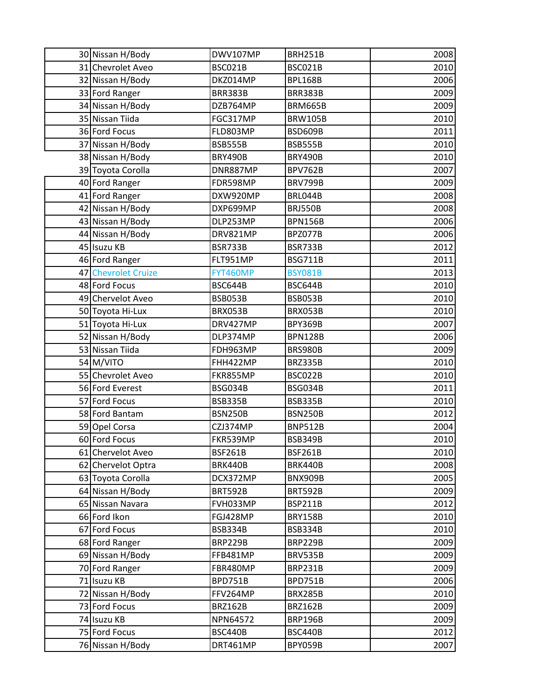| 30 Nissan H/Body    | DWV107MP       | <b>BRH251B</b> | 2008 |
|---------------------|----------------|----------------|------|
| 31 Chevrolet Aveo   | <b>BSC021B</b> | BSC021B        | 2010 |
| 32 Nissan H/Body    | DKZ014MP       | <b>BPL168B</b> | 2006 |
| 33 Ford Ranger      | <b>BRR383B</b> | <b>BRR383B</b> | 2009 |
| 34 Nissan H/Body    | DZB764MP       | <b>BRM665B</b> | 2009 |
| 35 Nissan Tiida     | FGC317MP       | <b>BRW105B</b> | 2010 |
| 36 Ford Focus       | FLD803MP       | BSD609B        | 2011 |
| 37 Nissan H/Body    | <b>BSB555B</b> | <b>BSB555B</b> | 2010 |
| 38 Nissan H/Body    | <b>BRY490B</b> | <b>BRY490B</b> | 2010 |
| 39 Toyota Corolla   | DNR887MP       | <b>BPV762B</b> | 2007 |
| 40 Ford Ranger      | FDR598MP       | <b>BRV799B</b> | 2009 |
| 41 Ford Ranger      | DXW920MP       | BRL044B        | 2008 |
| 42 Nissan H/Body    | DXP699MP       | <b>BRJ550B</b> | 2008 |
| 43 Nissan H/Body    | DLP253MP       | <b>BPN156B</b> | 2006 |
| 44 Nissan H/Body    | DRV821MP       | BPZ077B        | 2006 |
| 45 Isuzu KB         | <b>BSR733B</b> | BSR733B        | 2012 |
| 46 Ford Ranger      | FLT951MP       | <b>BSG711B</b> | 2011 |
| 47 Chevrolet Cruize | FYT460MP       | <b>BSY081B</b> | 2013 |
| 48 Ford Focus       | <b>BSC644B</b> | <b>BSC644B</b> | 2010 |
| 49 Chervelot Aveo   | BSB053B        | <b>BSB053B</b> | 2010 |
| 50 Toyota Hi-Lux    | BRX053B        | BRX053B        | 2010 |
| 51 Toyota Hi-Lux    | DRV427MP       | BPY369B        | 2007 |
| 52 Nissan H/Body    | DLP374MP       | <b>BPN128B</b> | 2006 |
| 53 Nissan Tiida     | FDH963MP       | <b>BRS980B</b> | 2009 |
| 54 M/VITO           | FHH422MP       | <b>BRZ335B</b> | 2010 |
| 55 Chevrolet Aveo   | FKR855MP       | BSC022B        | 2010 |
| 56 Ford Everest     | BSG034B        | BSG034B        | 2011 |
| 57 Ford Focus       | <b>BSB335B</b> | <b>BSB335B</b> | 2010 |
| 58 Ford Bantam      | <b>BSN250B</b> | <b>BSN250B</b> | 2012 |
| 59 Opel Corsa       | CZJ374MP       | <b>BNP512B</b> | 2004 |
| 60 Ford Focus       | FKR539MP       | <b>BSB349B</b> | 2010 |
| 61 Chervelot Aveo   | <b>BSF261B</b> | <b>BSF261B</b> | 2010 |
| 62 Chervelot Optra  | <b>BRK440B</b> | <b>BRK440B</b> | 2008 |
| 63 Toyota Corolla   | DCX372MP       | <b>BNX909B</b> | 2005 |
| 64 Nissan H/Body    | <b>BRT592B</b> | BRT592B        | 2009 |
| 65 Nissan Navara    | FVH033MP       | <b>BSP211B</b> | 2012 |
| 66 Ford Ikon        | FGJ428MP       | BRY158B        | 2010 |
| 67 Ford Focus       | <b>BSB334B</b> | <b>BSB334B</b> | 2010 |
| 68 Ford Ranger      | <b>BRP229B</b> | <b>BRP229B</b> | 2009 |
| 69 Nissan H/Body    | FFB481MP       | <b>BRV535B</b> | 2009 |
| 70 Ford Ranger      | FBR480MP       | <b>BRP231B</b> | 2009 |
| 71 Isuzu KB         | <b>BPD751B</b> | <b>BPD751B</b> | 2006 |
| 72 Nissan H/Body    | FFV264MP       | <b>BRX285B</b> | 2010 |
| 73 Ford Focus       | <b>BRZ162B</b> | <b>BRZ162B</b> | 2009 |
| 74 Isuzu KB         | NPN64572       | <b>BRP196B</b> | 2009 |
| 75 Ford Focus       | <b>BSC440B</b> | <b>BSC440B</b> | 2012 |
| 76 Nissan H/Body    | DRT461MP       | BPY059B        | 2007 |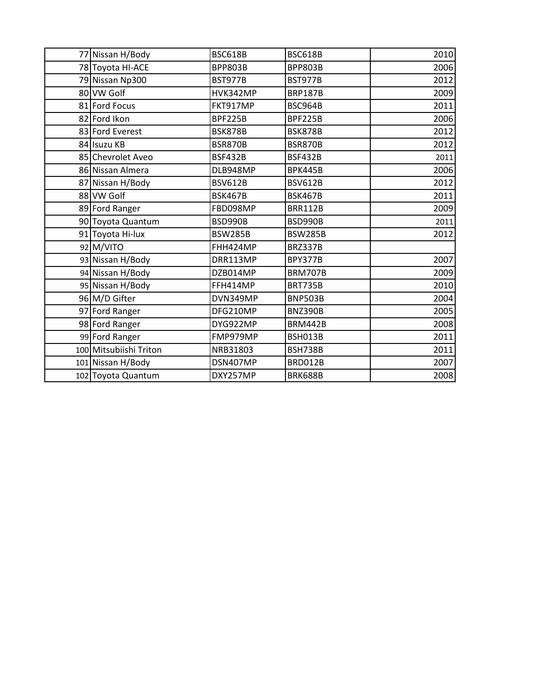| 77 Nissan H/Body       | <b>BSC618B</b> | <b>BSC618B</b> | 2010 |
|------------------------|----------------|----------------|------|
| 78 Toyota HI-ACE       | <b>BPP803B</b> | <b>BPP803B</b> | 2006 |
| 79 Nissan Np300        | <b>BST977B</b> | <b>BST977B</b> | 2012 |
| 80 VW Golf             | HVK342MP       | <b>BRP187B</b> | 2009 |
| 81 Ford Focus          | FKT917MP       | BSC964B        | 2011 |
| 82 Ford Ikon           | <b>BPF225B</b> | <b>BPF225B</b> | 2006 |
| 83 Ford Everest        | <b>BSK878B</b> | <b>BSK878B</b> | 2012 |
| 84 Isuzu KB            | <b>BSR870B</b> | <b>BSR870B</b> | 2012 |
| 85 Chevrolet Aveo      | <b>BSF432B</b> | <b>BSF432B</b> | 2011 |
| 86 Nissan Almera       | DLB948MP       | <b>BPK445B</b> | 2006 |
| 87 Nissan H/Body       | <b>BSV612B</b> | <b>BSV612B</b> | 2012 |
| 88 VW Golf             | <b>BSK467B</b> | <b>BSK467B</b> | 2011 |
| 89 Ford Ranger         | FBD098MP       | <b>BRR112B</b> | 2009 |
| 90 Toyota Quantum      | BSD990B        | BSD990B        | 2011 |
| 91 Toyota Hi-lux       | <b>BSW285B</b> | <b>BSW285B</b> | 2012 |
| 92 M/VITO              | FHH424MP       | <b>BRZ337B</b> |      |
| 93 Nissan H/Body       | DRR113MP       | <b>BPY377B</b> | 2007 |
| 94 Nissan H/Body       | DZB014MP       | <b>BRM707B</b> | 2009 |
| 95 Nissan H/Body       | FFH414MP       | <b>BRT735B</b> | 2010 |
| 96 M/D Gifter          | DVN349MP       | <b>BNP503B</b> | 2004 |
| 97 Ford Ranger         | DFG210MP       | <b>BNZ390B</b> | 2005 |
| 98 Ford Ranger         | DYG922MP       | <b>BRM442B</b> | 2008 |
| 99 Ford Ranger         | FMP979MP       | <b>BSH013B</b> | 2011 |
| 100 Mitsubiishi Triton | NRB31803       | <b>BSH738B</b> | 2011 |
| 101 Nissan H/Body      | DSN407MP       | <b>BRD012B</b> | 2007 |
| 102 Toyota Quantum     | DXY257MP       | <b>BRK688B</b> | 2008 |